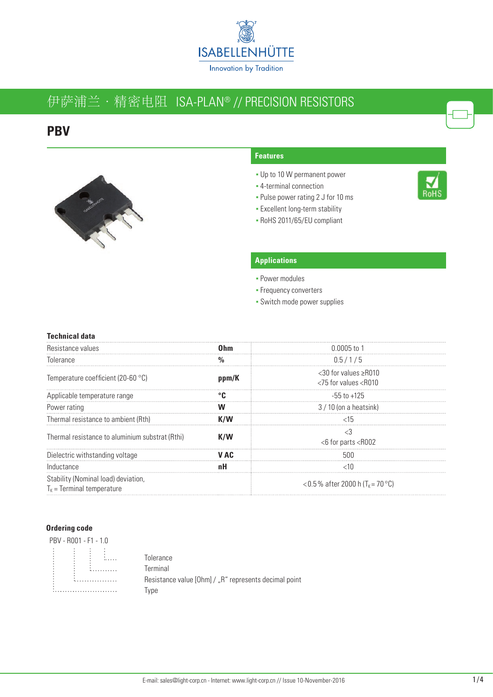

# 伊萨浦兰 · 精密电阻 ISA-PLAN® // PRECISION RESISTORS

## **PBV**



#### **Features**

- Up to 10 W permanent power
- **4-terminal connection**
- Pulse power rating 2 J for 10 ms
- **Excellent long-term stability**
- RoHS 2011/65/EU compliant

#### **Applications**

- Power modules
- **Frequency converters**
- Switch mode power supplies

#### **Technical data**

| Resistance values                                                     |       | 0 0005 to 1                                                           |
|-----------------------------------------------------------------------|-------|-----------------------------------------------------------------------|
| Tolerance                                                             |       | 0.5/1/5                                                               |
| Temperature coefficient (20-60 $^{\circ}$ C)                          | ppm/K | $<$ 30 for values $\geq$ R010<br><75 for values <r010< td=""></r010<> |
| Applicable temperature range                                          |       | -55 to +125                                                           |
| Power rating                                                          |       | $3/10$ (on a heatsink)                                                |
| Thermal resistance to ambient (Rth)                                   | K/W   | $~<$ 15                                                               |
| Thermal resistance to aluminium substrat (Rthi)                       | K/W   | <6 for parts <r002< td=""></r002<>                                    |
| Dielectric withstanding voltage                                       | V AC. |                                                                       |
| Inductance                                                            |       |                                                                       |
| Stability (Nominal load) deviation,<br>$T_{K}$ = Terminal temperature |       | <0.5% after 2000 h (T <sub>k</sub> = 70 °C)                           |

#### **Ordering code**

#### PBV - R001 - F1 - 1.0  $\ddot{\cdot}$  $\begin{array}{c} \bullet & \bullet \\ \bullet & \bullet \\ \bullet & \bullet \end{array}$  $\ddot{\ddot{\bm{z}}}$  . . . . . . . . . . 1. . . . . . . . . . . . . . . . .

**Tolerance Terminal** Resistance value [Ohm] / "R" represents decimal point Type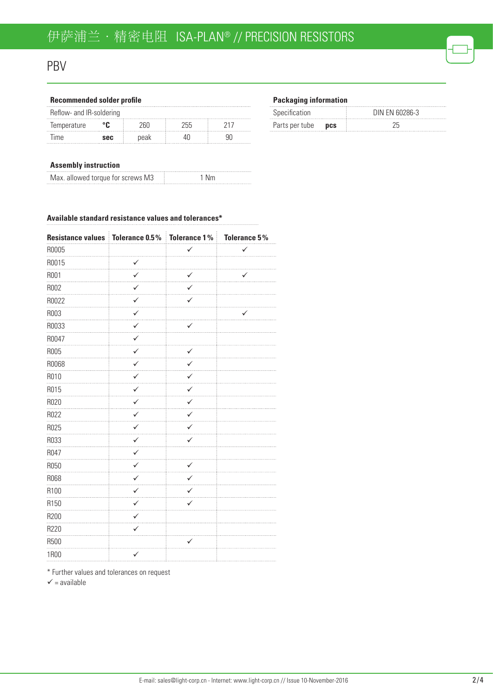## PBV

| <b>Recommended solder profile</b> |     |       |     |  |
|-----------------------------------|-----|-------|-----|--|
| Reflow- and IR-soldering          |     |       |     |  |
| Temperature                       | ்ட  | ''h∩- | 255 |  |
| <b>Time</b>                       | sec | peak  |     |  |

#### **Packaging information**

| Specification             | DIN FN 60286-3 |
|---------------------------|----------------|
| Parts per tube <b>pcs</b> |                |

#### **Assembly instruction**

| Max. allowed torque for screws M3 | 1 Nm |
|-----------------------------------|------|
|                                   |      |

#### **Available standard resistance values and tolerances\***

| Resistance values   Tolerance 0.5%   Tolerance 1% |              |              | Tolerance 5% |
|---------------------------------------------------|--------------|--------------|--------------|
| R0005                                             |              | $\checkmark$ | ✓            |
| R0015                                             | $\checkmark$ |              |              |
| R001                                              | ✓            | ✓            | ✓            |
| R002                                              | ✓            | ✓            |              |
| R0022                                             | ✓            | .<br>✓       |              |
| R003                                              | ✓            |              |              |
| R0033                                             | $\checkmark$ | ✓            |              |
| R0047                                             | ✓            |              |              |
| R005                                              | ✓            | ✓<br>.       |              |
| R0068                                             | ✓            | ✓            |              |
| R010                                              | ✓<br>.       | ✓            |              |
| R015                                              | ✓            | .<br>✓       |              |
| R020                                              | $\checkmark$ | ✓            |              |
| R022                                              | ✓            | ✓            |              |
| R025                                              | ✓            | ✓            |              |
| R033                                              | $\checkmark$ | ✓            |              |
| R047                                              | ✓            |              |              |
| R050                                              | ✓<br>.       | ✓<br>.       |              |
| R068                                              | ✓            | ✓            |              |
| R100                                              | ✓            | ✓<br>.       |              |
| R150                                              | $\checkmark$ | ✓            |              |
| R200                                              | ✓            |              |              |
| R220                                              | $\checkmark$ |              |              |
| R500                                              |              |              |              |
| <b>1R00</b>                                       | $\checkmark$ |              |              |

\* Further values and tolerances on request

 $\checkmark$  = available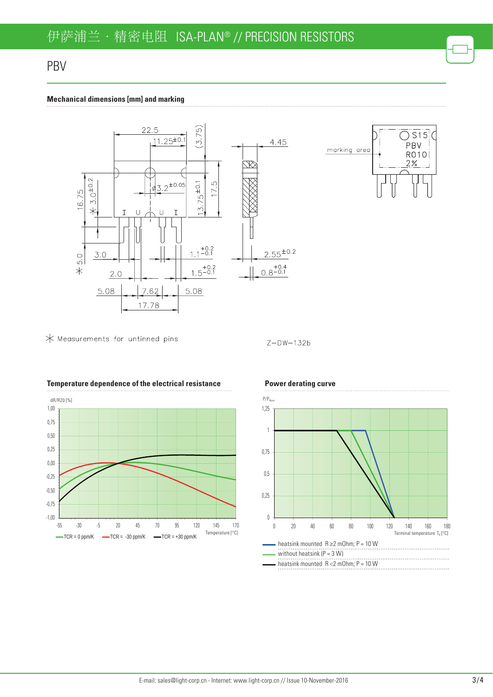## PBV

#### **Mechanical dimensions [mm] and marking**



 $\bigstar$  Measurements for untinned pins